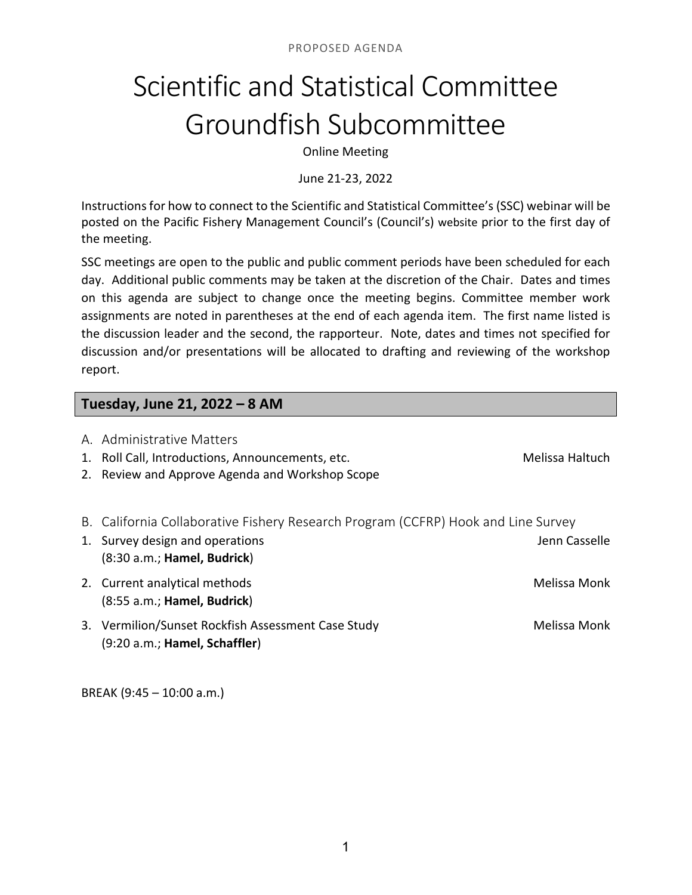# Scientific and Statistical Committee Groundfish Subcommittee

Online Meeting

June 21-23, 2022

Instructions for how to connect to the Scientific and Statistical Committee's (SSC) webinar will be posted on the Pacific Fishery Management Council's (Council's) website prior to the first day of the meeting.

SSC meetings are open to the public and public comment periods have been scheduled for each day. Additional public comments may be taken at the discretion of the Chair. Dates and times on this agenda are subject to change once the meeting begins. Committee member work assignments are noted in parentheses at the end of each agenda item. The first name listed is the discussion leader and the second, the rapporteur. Note, dates and times not specified for discussion and/or presentations will be allocated to drafting and reviewing of the workshop report.

### **Tuesday, June 21, 2022 – 8 AM**

| A. Administrative Matters<br>Roll Call, Introductions, Announcements, etc.<br>2. Review and Approve Agenda and Workshop Scope                       | Melissa Haltuch |
|-----------------------------------------------------------------------------------------------------------------------------------------------------|-----------------|
| B. California Collaborative Fishery Research Program (CCFRP) Hook and Line Survey<br>1. Survey design and operations<br>(8:30 a.m.; Hamel, Budrick) | Jenn Casselle   |
| 2. Current analytical methods<br>$(8:55 a.m.;$ Hamel, Budrick)                                                                                      | Melissa Monk    |
| 3. Vermilion/Sunset Rockfish Assessment Case Study<br>(9:20 a.m.; Hamel, Schaffler)                                                                 | Melissa Monk    |

BREAK (9:45 – 10:00 a.m.)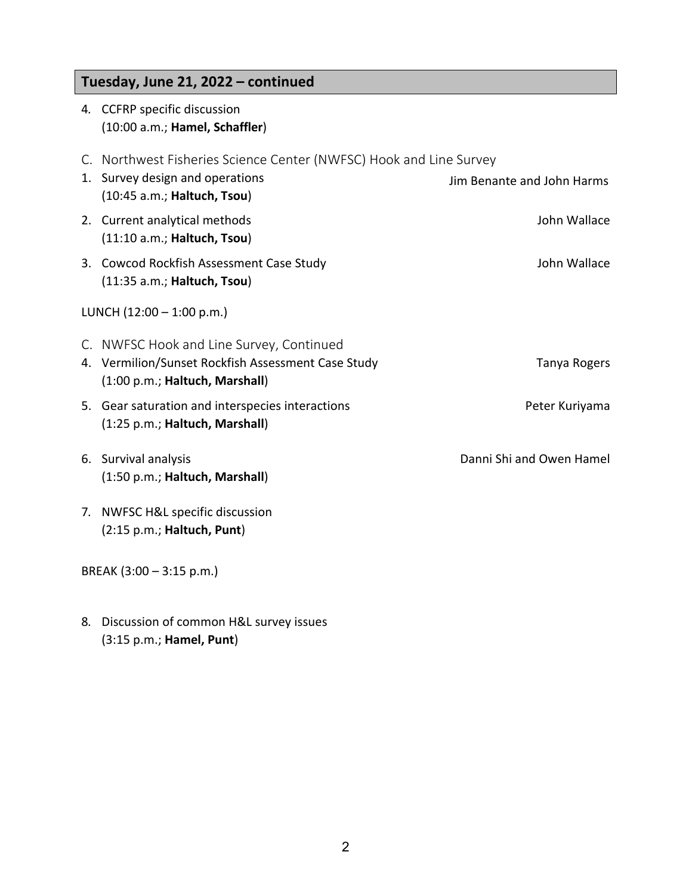# **Tuesday, June 21, 2022 – continued**

|                             | 4. CCFRP specific discussion<br>(10:00 a.m.; Hamel, Schaffler)                                                                       |                            |  |  |
|-----------------------------|--------------------------------------------------------------------------------------------------------------------------------------|----------------------------|--|--|
|                             | C. Northwest Fisheries Science Center (NWFSC) Hook and Line Survey<br>1. Survey design and operations<br>(10:45 a.m.; Haltuch, Tsou) | Jim Benante and John Harms |  |  |
|                             | 2. Current analytical methods<br>(11:10 a.m.; Haltuch, Tsou)                                                                         | John Wallace               |  |  |
|                             | 3. Cowcod Rockfish Assessment Case Study<br>(11:35 a.m.; Haltuch, Tsou)                                                              | John Wallace               |  |  |
| LUNCH $(12:00 - 1:00 p.m.)$ |                                                                                                                                      |                            |  |  |
|                             | C. NWFSC Hook and Line Survey, Continued<br>4. Vermilion/Sunset Rockfish Assessment Case Study<br>(1:00 p.m.; Haltuch, Marshall)     | Tanya Rogers               |  |  |
|                             | 5. Gear saturation and interspecies interactions<br>(1:25 p.m.; Haltuch, Marshall)                                                   | Peter Kuriyama             |  |  |
|                             | 6. Survival analysis<br>(1:50 p.m.; Haltuch, Marshall)                                                                               | Danni Shi and Owen Hamel   |  |  |
|                             | 7. NWFSC H&L specific discussion<br>(2:15 p.m.; Haltuch, Punt)                                                                       |                            |  |  |
| BREAK $(3:00 - 3:15 p.m.)$  |                                                                                                                                      |                            |  |  |

8*.* Discussion of common H&L survey issues (3:15 p.m.; **Hamel, Punt**)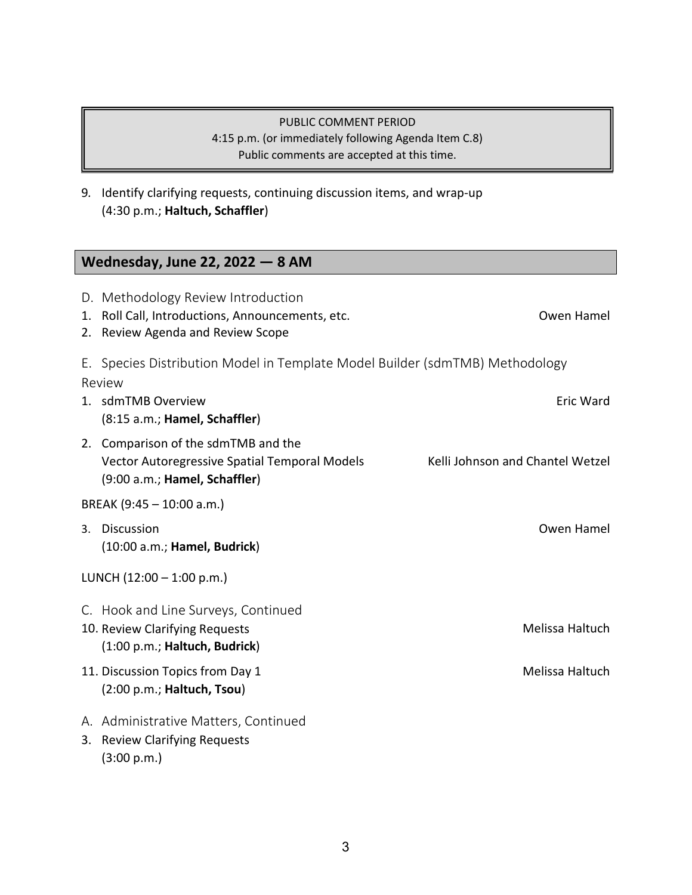#### PUBLIC COMMENT PERIOD 4:15 p.m. (or immediately following Agenda Item C.8) Public comments are accepted at this time.

9*.* Identify clarifying requests, continuing discussion items, and wrap-up (4:30 p.m.; **Haltuch, Schaffler**)

# **Wednesday, June 22, 2022 — 8 AM**

|                           | D. Methodology Review Introduction<br>1. Roll Call, Introductions, Announcements, etc.<br>2. Review Agenda and Review Scope | Owen Hamel                       |  |  |
|---------------------------|-----------------------------------------------------------------------------------------------------------------------------|----------------------------------|--|--|
|                           | E. Species Distribution Model in Template Model Builder (sdmTMB) Methodology<br>Review                                      |                                  |  |  |
|                           | 1. sdmTMB Overview<br>(8:15 a.m.; Hamel, Schaffler)                                                                         | Eric Ward                        |  |  |
|                           | 2. Comparison of the sdmTMB and the<br>Vector Autoregressive Spatial Temporal Models<br>(9:00 a.m.; Hamel, Schaffler)       | Kelli Johnson and Chantel Wetzel |  |  |
| BREAK (9:45 - 10:00 a.m.) |                                                                                                                             |                                  |  |  |
|                           | 3. Discussion<br>(10:00 a.m.; Hamel, Budrick)                                                                               | Owen Hamel                       |  |  |
| LUNCH (12:00 - 1:00 p.m.) |                                                                                                                             |                                  |  |  |
|                           | C. Hook and Line Surveys, Continued<br>10. Review Clarifying Requests<br>(1:00 p.m.; Haltuch, Budrick)                      | Melissa Haltuch                  |  |  |
|                           | 11. Discussion Topics from Day 1<br>(2:00 p.m.; Haltuch, Tsou)                                                              | Melissa Haltuch                  |  |  |
|                           | A. Administrative Matters, Continued<br>3. Review Clarifying Requests<br>(3:00 p.m.)                                        |                                  |  |  |